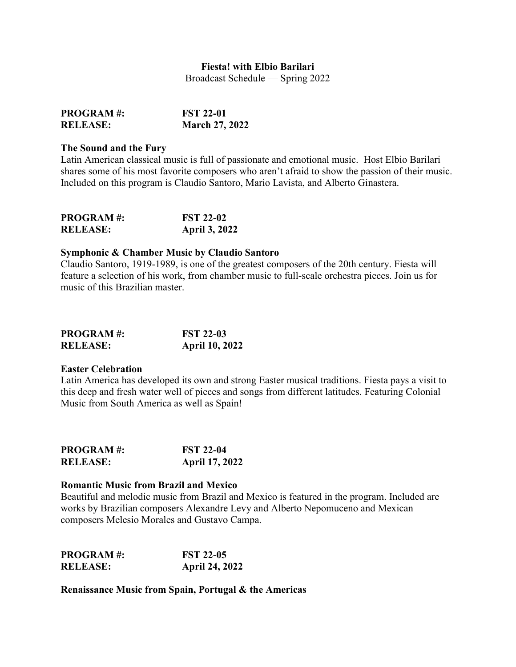# **Fiesta! with Elbio Barilari**

Broadcast Schedule — Spring 2022

| <b>PROGRAM#:</b> | <b>FST 22-01</b>      |
|------------------|-----------------------|
| <b>RELEASE:</b>  | <b>March 27, 2022</b> |

#### **The Sound and the Fury**

Latin American classical music is full of passionate and emotional music. Host Elbio Barilari shares some of his most favorite composers who aren't afraid to show the passion of their music. Included on this program is Claudio Santoro, Mario Lavista, and Alberto Ginastera.

| <b>PROGRAM#:</b> | <b>FST 22-02</b>     |
|------------------|----------------------|
| <b>RELEASE:</b>  | <b>April 3, 2022</b> |

# **Symphonic & Chamber Music by Claudio Santoro**

Claudio Santoro, 1919-1989, is one of the greatest composers of the 20th century. Fiesta will feature a selection of his work, from chamber music to full-scale orchestra pieces. Join us for music of this Brazilian master.

| <b>PROGRAM#:</b> | <b>FST 22-03</b>      |
|------------------|-----------------------|
| <b>RELEASE:</b>  | <b>April 10, 2022</b> |

### **Easter Celebration**

Latin America has developed its own and strong Easter musical traditions. Fiesta pays a visit to this deep and fresh water well of pieces and songs from different latitudes. Featuring Colonial Music from South America as well as Spain!

| <b>PROGRAM#:</b> | <b>FST 22-04</b>      |
|------------------|-----------------------|
| <b>RELEASE:</b>  | <b>April 17, 2022</b> |

### **Romantic Music from Brazil and Mexico**

Beautiful and melodic music from Brazil and Mexico is featured in the program. Included are works by Brazilian composers Alexandre Levy and Alberto Nepomuceno and Mexican composers Melesio Morales and Gustavo Campa.

| <b>PROGRAM#:</b> | <b>FST 22-05</b>      |
|------------------|-----------------------|
| <b>RELEASE:</b>  | <b>April 24, 2022</b> |

**Renaissance Music from Spain, Portugal & the Americas**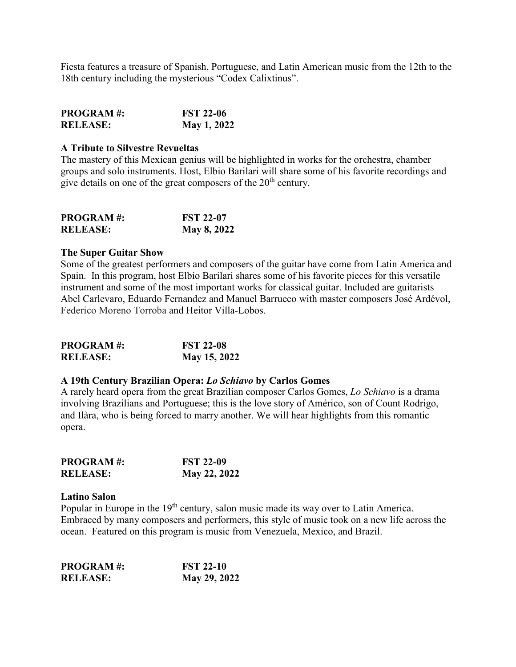Fiesta features a treasure of Spanish, Portuguese, and Latin American music from the 12th to the 18th century including the mysterious "Codex Calixtinus".

| <b>PROGRAM#:</b> | <b>FST 22-06</b> |
|------------------|------------------|
| <b>RELEASE:</b>  | May 1, 2022      |

#### **A Tribute to Silvestre Revueltas**

The mastery of this Mexican genius will be highlighted in works for the orchestra, chamber groups and solo instruments. Host, Elbio Barilari will share some of his favorite recordings and give details on one of the great composers of the  $20<sup>th</sup>$  century.

| <b>PROGRAM#:</b> | <b>FST 22-07</b>   |
|------------------|--------------------|
| <b>RELEASE:</b>  | <b>May 8, 2022</b> |

#### **The Super Guitar Show**

Some of the greatest performers and composers of the guitar have come from Latin America and Spain. In this program, host Elbio Barilari shares some of his favorite pieces for this versatile instrument and some of the most important works for classical guitar. Included are guitarists Abel Carlevaro, Eduardo Fernandez and Manuel Barrueco with master composers José Ardévol, Federico Moreno Torroba and Heitor Villa-Lobos.

| <b>PROGRAM#:</b> | <b>FST 22-08</b> |
|------------------|------------------|
| <b>RELEASE:</b>  | May 15, 2022     |

# **A 19th Century Brazilian Opera:** *Lo Schiavo* **by Carlos Gomes**

A rarely heard opera from the great Brazilian composer Carlos Gomes, *Lo Schiavo* is a drama involving Brazilians and Portuguese; this is the love story of Américo, son of Count Rodrigo, and Ilàra, who is being forced to marry another. We will hear highlights from this romantic opera.

| <b>PROGRAM#:</b> | <b>FST 22-09</b> |
|------------------|------------------|
| <b>RELEASE:</b>  | May 22, 2022     |

### **Latino Salon**

Popular in Europe in the 19<sup>th</sup> century, salon music made its way over to Latin America. Embraced by many composers and performers, this style of music took on a new life across the ocean. Featured on this program is music from Venezuela, Mexico, and Brazil.

| <b>PROGRAM#:</b> | <b>FST 22-10</b> |
|------------------|------------------|
| <b>RELEASE:</b>  | May 29, 2022     |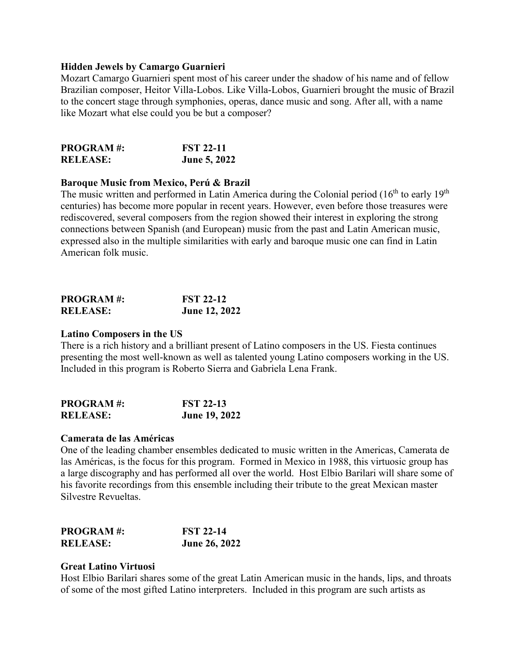## **Hidden Jewels by Camargo Guarnieri**

Mozart Camargo Guarnieri spent most of his career under the shadow of his name and of fellow Brazilian composer, Heitor Villa-Lobos. Like Villa-Lobos, Guarnieri brought the music of Brazil to the concert stage through symphonies, operas, dance music and song. After all, with a name like Mozart what else could you be but a composer?

| <b>PROGRAM#:</b> | <b>FST 22-11</b>    |
|------------------|---------------------|
| <b>RELEASE:</b>  | <b>June 5, 2022</b> |

# **Baroque Music from Mexico, Perú & Brazil**

The music written and performed in Latin America during the Colonial period  $(16<sup>th</sup>$  to early  $19<sup>th</sup>$ centuries) has become more popular in recent years. However, even before those treasures were rediscovered, several composers from the region showed their interest in exploring the strong connections between Spanish (and European) music from the past and Latin American music, expressed also in the multiple similarities with early and baroque music one can find in Latin American folk music.

| <b>PROGRAM#:</b> | <b>FST 22-12</b>     |
|------------------|----------------------|
| <b>RELEASE:</b>  | <b>June 12, 2022</b> |

### **Latino Composers in the US**

There is a rich history and a brilliant present of Latino composers in the US. Fiesta continues presenting the most well-known as well as talented young Latino composers working in the US. Included in this program is Roberto Sierra and Gabriela Lena Frank.

| <b>PROGRAM#:</b> | <b>FST 22-13</b>     |
|------------------|----------------------|
| <b>RELEASE:</b>  | <b>June 19, 2022</b> |

### **Camerata de las Américas**

One of the leading chamber ensembles dedicated to music written in the Americas, Camerata de las Américas, is the focus for this program. Formed in Mexico in 1988, this virtuosic group has a large discography and has performed all over the world. Host Elbio Barilari will share some of his favorite recordings from this ensemble including their tribute to the great Mexican master Silvestre Revueltas.

| <b>PROGRAM#:</b> | <b>FST 22-14</b>     |
|------------------|----------------------|
| <b>RELEASE:</b>  | <b>June 26, 2022</b> |

### **Great Latino Virtuosi**

Host Elbio Barilari shares some of the great Latin American music in the hands, lips, and throats of some of the most gifted Latino interpreters. Included in this program are such artists as